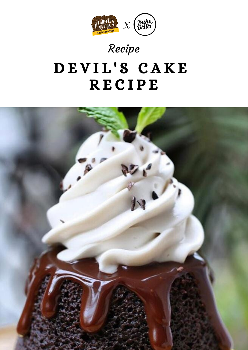

## Recipe

# DEVIL'S CAKE R E C I P E

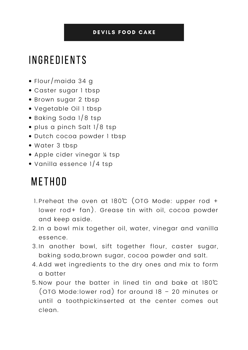#### DEVILS FOOD CAKE

### **INGREDIENTS**

- Flour/maida 34 g
- Caster sugar 1 tbsp
- Brown sugar 2 tbsp
- Vegetable Oil 1 tbsp
- Baking Soda 1/8 tsp
- plus a pinch Salt 1/8 tsp
- Dutch cocoa powder I tbsp
- Water 3 tbsp
- Apple cider vinegar ¼ tsp
- apple cluer villegar » tsp<br>• Vanilla essence 1/4 tsp

# **METHOD**

- Ingredients Directions nea tin with oil cocon now water, 2 1/2 tablespoons sugar, salt and 2 1.Preheat the oven at 180℃ (OTG Mode: upper rod + lower rod+ fan). Grease tin with oil, cocoa powder and keep aside.
- 2.In a bowl mix together oil, water, vinegar and vanilla essence.
- baking soda,brown sugar, cocoa powder and salt. 3.In another bowl, sift together flour, caster sugar,
- 4.Add wet ingredients to the dry ones and mix to form a batter
- Now pour the batter in lined tin and bake at 180˚C 5.(OTG Mode:lower rod) for around 18 – 20 minutes or until a toothpickinserted at the center comes out clean.